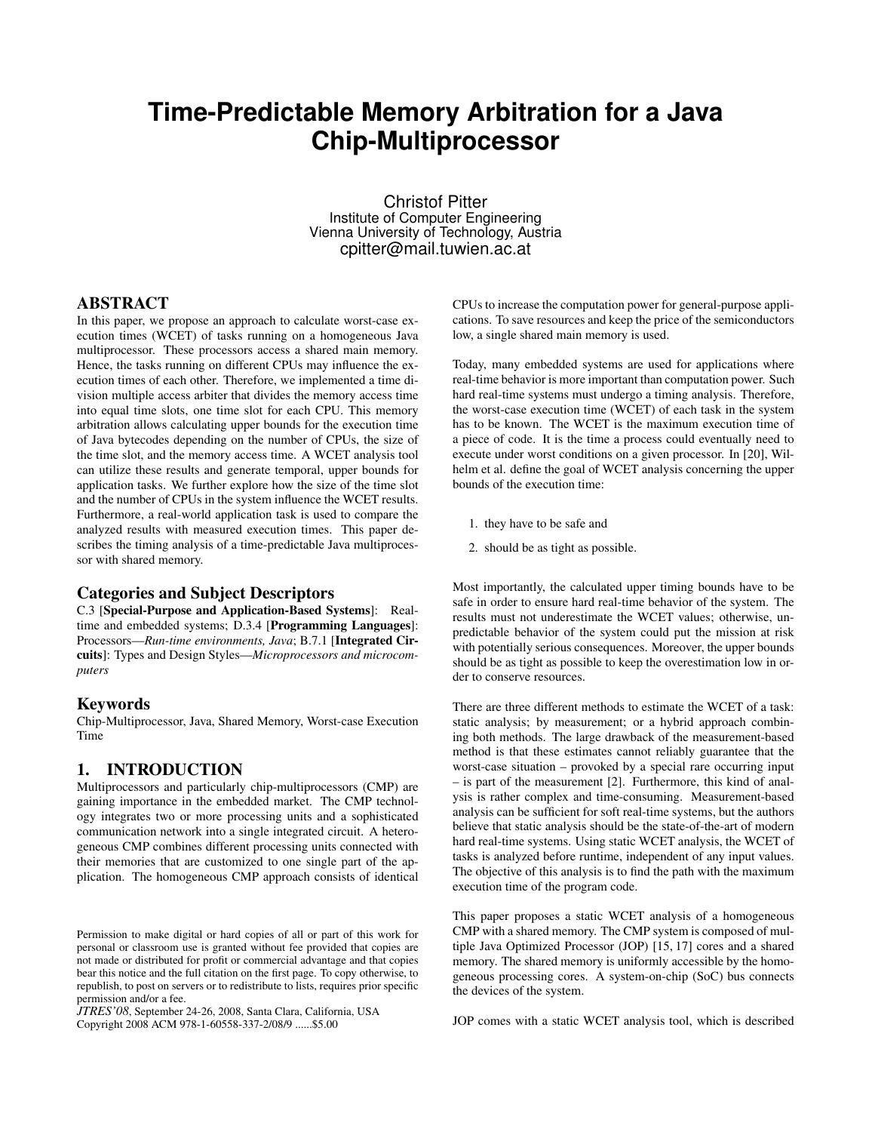# **Time-Predictable Memory Arbitration for a Java Chip-Multiprocessor**

Christof Pitter Institute of Computer Engineering Vienna University of Technology, Austria cpitter@mail.tuwien.ac.at

#### ABSTRACT

In this paper, we propose an approach to calculate worst-case execution times (WCET) of tasks running on a homogeneous Java multiprocessor. These processors access a shared main memory. Hence, the tasks running on different CPUs may influence the execution times of each other. Therefore, we implemented a time division multiple access arbiter that divides the memory access time into equal time slots, one time slot for each CPU. This memory arbitration allows calculating upper bounds for the execution time of Java bytecodes depending on the number of CPUs, the size of the time slot, and the memory access time. A WCET analysis tool can utilize these results and generate temporal, upper bounds for application tasks. We further explore how the size of the time slot and the number of CPUs in the system influence the WCET results. Furthermore, a real-world application task is used to compare the analyzed results with measured execution times. This paper describes the timing analysis of a time-predictable Java multiprocessor with shared memory.

#### Categories and Subject Descriptors

C.3 [Special-Purpose and Application-Based Systems]: Realtime and embedded systems; D.3.4 [Programming Languages]: Processors—*Run-time environments, Java*; B.7.1 [Integrated Circuits]: Types and Design Styles—*Microprocessors and microcomputers*

#### Keywords

Chip-Multiprocessor, Java, Shared Memory, Worst-case Execution Time

# 1. INTRODUCTION

Multiprocessors and particularly chip-multiprocessors (CMP) are gaining importance in the embedded market. The CMP technology integrates two or more processing units and a sophisticated communication network into a single integrated circuit. A heterogeneous CMP combines different processing units connected with their memories that are customized to one single part of the application. The homogeneous CMP approach consists of identical

*JTRES'08*, September 24-26, 2008, Santa Clara, California, USA Copyright 2008 ACM 978-1-60558-337-2/08/9 ......\$5.00

CPUs to increase the computation power for general-purpose applications. To save resources and keep the price of the semiconductors low, a single shared main memory is used.

Today, many embedded systems are used for applications where real-time behavior is more important than computation power. Such hard real-time systems must undergo a timing analysis. Therefore, the worst-case execution time (WCET) of each task in the system has to be known. The WCET is the maximum execution time of a piece of code. It is the time a process could eventually need to execute under worst conditions on a given processor. In [\[20\]](#page-7-0), Wilhelm et al. define the goal of WCET analysis concerning the upper bounds of the execution time:

- 1. they have to be safe and
- 2. should be as tight as possible.

Most importantly, the calculated upper timing bounds have to be safe in order to ensure hard real-time behavior of the system. The results must not underestimate the WCET values; otherwise, unpredictable behavior of the system could put the mission at risk with potentially serious consequences. Moreover, the upper bounds should be as tight as possible to keep the overestimation low in order to conserve resources.

There are three different methods to estimate the WCET of a task: static analysis; by measurement; or a hybrid approach combining both methods. The large drawback of the measurement-based method is that these estimates cannot reliably guarantee that the worst-case situation – provoked by a special rare occurring input – is part of the measurement [\[2\]](#page-7-1). Furthermore, this kind of analysis is rather complex and time-consuming. Measurement-based analysis can be sufficient for soft real-time systems, but the authors believe that static analysis should be the state-of-the-art of modern hard real-time systems. Using static WCET analysis, the WCET of tasks is analyzed before runtime, independent of any input values. The objective of this analysis is to find the path with the maximum execution time of the program code.

This paper proposes a static WCET analysis of a homogeneous CMP with a shared memory. The CMP system is composed of multiple Java Optimized Processor (JOP) [\[15,](#page-7-2) [17\]](#page-7-3) cores and a shared memory. The shared memory is uniformly accessible by the homogeneous processing cores. A system-on-chip (SoC) bus connects the devices of the system.

JOP comes with a static WCET analysis tool, which is described

Permission to make digital or hard copies of all or part of this work for personal or classroom use is granted without fee provided that copies are not made or distributed for profit or commercial advantage and that copies bear this notice and the full citation on the first page. To copy otherwise, to republish, to post on servers or to redistribute to lists, requires prior specific permission and/or a fee.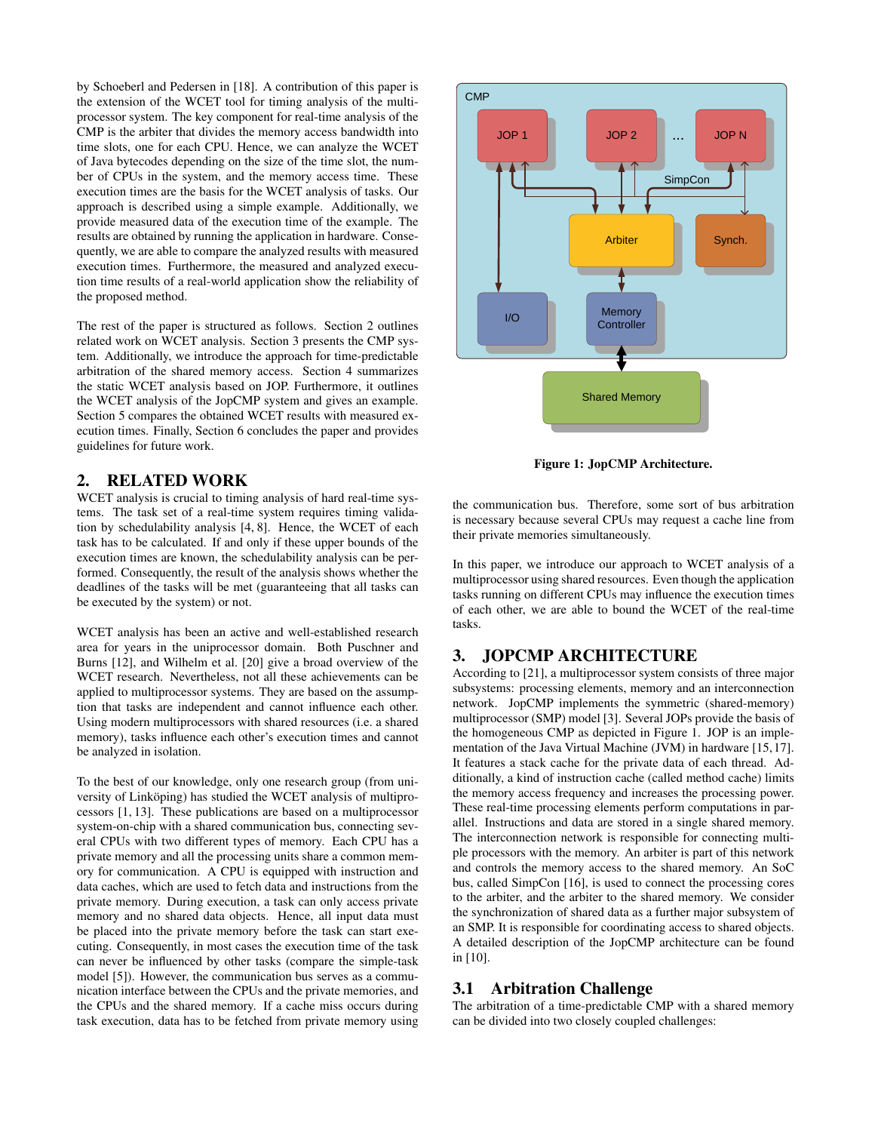by Schoeberl and Pedersen in [\[18\]](#page-7-4). A contribution of this paper is the extension of the WCET tool for timing analysis of the multiprocessor system. The key component for real-time analysis of the CMP is the arbiter that divides the memory access bandwidth into time slots, one for each CPU. Hence, we can analyze the WCET of Java bytecodes depending on the size of the time slot, the number of CPUs in the system, and the memory access time. These execution times are the basis for the WCET analysis of tasks. Our approach is described using a simple example. Additionally, we provide measured data of the execution time of the example. The results are obtained by running the application in hardware. Consequently, we are able to compare the analyzed results with measured execution times. Furthermore, the measured and analyzed execution time results of a real-world application show the reliability of the proposed method.

The rest of the paper is structured as follows. Section [2](#page-1-0) outlines related work on WCET analysis. Section [3](#page-1-1) presents the CMP system. Additionally, we introduce the approach for time-predictable arbitration of the shared memory access. Section [4](#page-2-0) summarizes the static WCET analysis based on JOP. Furthermore, it outlines the WCET analysis of the JopCMP system and gives an example. Section [5](#page-5-0) compares the obtained WCET results with measured execution times. Finally, Section [6](#page-6-0) concludes the paper and provides guidelines for future work.

#### <span id="page-1-0"></span>2. RELATED WORK

WCET analysis is crucial to timing analysis of hard real-time systems. The task set of a real-time system requires timing validation by schedulability analysis [\[4,](#page-7-5) [8\]](#page-7-6). Hence, the WCET of each task has to be calculated. If and only if these upper bounds of the execution times are known, the schedulability analysis can be performed. Consequently, the result of the analysis shows whether the deadlines of the tasks will be met (guaranteeing that all tasks can be executed by the system) or not.

WCET analysis has been an active and well-established research area for years in the uniprocessor domain. Both Puschner and Burns [\[12\]](#page-7-7), and Wilhelm et al. [\[20\]](#page-7-0) give a broad overview of the WCET research. Nevertheless, not all these achievements can be applied to multiprocessor systems. They are based on the assumption that tasks are independent and cannot influence each other. Using modern multiprocessors with shared resources (i.e. a shared memory), tasks influence each other's execution times and cannot be analyzed in isolation.

To the best of our knowledge, only one research group (from university of Linköping) has studied the WCET analysis of multiprocessors [\[1,](#page-7-8) [13\]](#page-7-9). These publications are based on a multiprocessor system-on-chip with a shared communication bus, connecting several CPUs with two different types of memory. Each CPU has a private memory and all the processing units share a common memory for communication. A CPU is equipped with instruction and data caches, which are used to fetch data and instructions from the private memory. During execution, a task can only access private memory and no shared data objects. Hence, all input data must be placed into the private memory before the task can start executing. Consequently, in most cases the execution time of the task can never be influenced by other tasks (compare the simple-task model [\[5\]](#page-7-10)). However, the communication bus serves as a communication interface between the CPUs and the private memories, and the CPUs and the shared memory. If a cache miss occurs during task execution, data has to be fetched from private memory using



<span id="page-1-2"></span>Figure 1: JopCMP Architecture.

the communication bus. Therefore, some sort of bus arbitration is necessary because several CPUs may request a cache line from their private memories simultaneously.

In this paper, we introduce our approach to WCET analysis of a multiprocessor using shared resources. Even though the application tasks running on different CPUs may influence the execution times of each other, we are able to bound the WCET of the real-time tasks.

## <span id="page-1-1"></span>3. JOPCMP ARCHITECTURE

According to [\[21\]](#page-7-11), a multiprocessor system consists of three major subsystems: processing elements, memory and an interconnection network. JopCMP implements the symmetric (shared-memory) multiprocessor (SMP) model [\[3\]](#page-7-12). Several JOPs provide the basis of the homogeneous CMP as depicted in Figure [1.](#page-1-2) JOP is an implementation of the Java Virtual Machine (JVM) in hardware [\[15,](#page-7-2)[17\]](#page-7-3). It features a stack cache for the private data of each thread. Additionally, a kind of instruction cache (called method cache) limits the memory access frequency and increases the processing power. These real-time processing elements perform computations in parallel. Instructions and data are stored in a single shared memory. The interconnection network is responsible for connecting multiple processors with the memory. An arbiter is part of this network and controls the memory access to the shared memory. An SoC bus, called SimpCon [\[16\]](#page-7-13), is used to connect the processing cores to the arbiter, and the arbiter to the shared memory. We consider the synchronization of shared data as a further major subsystem of an SMP. It is responsible for coordinating access to shared objects. A detailed description of the JopCMP architecture can be found in [\[10\]](#page-7-14).

## 3.1 Arbitration Challenge

The arbitration of a time-predictable CMP with a shared memory can be divided into two closely coupled challenges: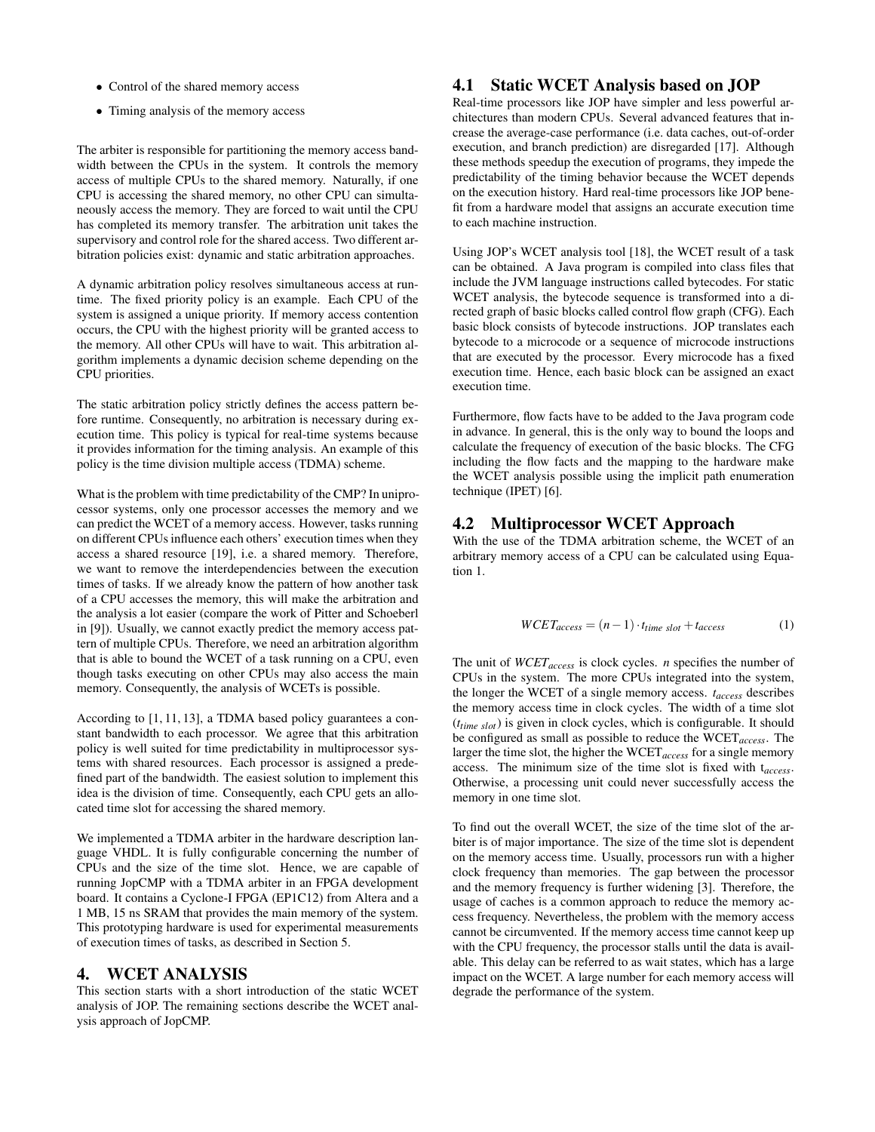- Control of the shared memory access
- Timing analysis of the memory access

The arbiter is responsible for partitioning the memory access bandwidth between the CPUs in the system. It controls the memory access of multiple CPUs to the shared memory. Naturally, if one CPU is accessing the shared memory, no other CPU can simultaneously access the memory. They are forced to wait until the CPU has completed its memory transfer. The arbitration unit takes the supervisory and control role for the shared access. Two different arbitration policies exist: dynamic and static arbitration approaches.

A dynamic arbitration policy resolves simultaneous access at runtime. The fixed priority policy is an example. Each CPU of the system is assigned a unique priority. If memory access contention occurs, the CPU with the highest priority will be granted access to the memory. All other CPUs will have to wait. This arbitration algorithm implements a dynamic decision scheme depending on the CPU priorities.

The static arbitration policy strictly defines the access pattern before runtime. Consequently, no arbitration is necessary during execution time. This policy is typical for real-time systems because it provides information for the timing analysis. An example of this policy is the time division multiple access (TDMA) scheme.

What is the problem with time predictability of the CMP? In uniprocessor systems, only one processor accesses the memory and we can predict the WCET of a memory access. However, tasks running on different CPUs influence each others' execution times when they access a shared resource [\[19\]](#page-7-15), i.e. a shared memory. Therefore, we want to remove the interdependencies between the execution times of tasks. If we already know the pattern of how another task of a CPU accesses the memory, this will make the arbitration and the analysis a lot easier (compare the work of Pitter and Schoeberl in [\[9\]](#page-7-16)). Usually, we cannot exactly predict the memory access pattern of multiple CPUs. Therefore, we need an arbitration algorithm that is able to bound the WCET of a task running on a CPU, even though tasks executing on other CPUs may also access the main memory. Consequently, the analysis of WCETs is possible.

According to [\[1,](#page-7-8) [11,](#page-7-17) [13\]](#page-7-9), a TDMA based policy guarantees a constant bandwidth to each processor. We agree that this arbitration policy is well suited for time predictability in multiprocessor systems with shared resources. Each processor is assigned a predefined part of the bandwidth. The easiest solution to implement this idea is the division of time. Consequently, each CPU gets an allocated time slot for accessing the shared memory.

We implemented a TDMA arbiter in the hardware description language VHDL. It is fully configurable concerning the number of CPUs and the size of the time slot. Hence, we are capable of running JopCMP with a TDMA arbiter in an FPGA development board. It contains a Cyclone-I FPGA (EP1C12) from Altera and a 1 MB, 15 ns SRAM that provides the main memory of the system. This prototyping hardware is used for experimental measurements of execution times of tasks, as described in Section [5.](#page-5-0)

## <span id="page-2-0"></span>4. WCET ANALYSIS

This section starts with a short introduction of the static WCET analysis of JOP. The remaining sections describe the WCET analysis approach of JopCMP.

#### 4.1 Static WCET Analysis based on JOP

Real-time processors like JOP have simpler and less powerful architectures than modern CPUs. Several advanced features that increase the average-case performance (i.e. data caches, out-of-order execution, and branch prediction) are disregarded [\[17\]](#page-7-3). Although these methods speedup the execution of programs, they impede the predictability of the timing behavior because the WCET depends on the execution history. Hard real-time processors like JOP benefit from a hardware model that assigns an accurate execution time to each machine instruction.

Using JOP's WCET analysis tool [\[18\]](#page-7-4), the WCET result of a task can be obtained. A Java program is compiled into class files that include the JVM language instructions called bytecodes. For static WCET analysis, the bytecode sequence is transformed into a directed graph of basic blocks called control flow graph (CFG). Each basic block consists of bytecode instructions. JOP translates each bytecode to a microcode or a sequence of microcode instructions that are executed by the processor. Every microcode has a fixed execution time. Hence, each basic block can be assigned an exact execution time.

Furthermore, flow facts have to be added to the Java program code in advance. In general, this is the only way to bound the loops and calculate the frequency of execution of the basic blocks. The CFG including the flow facts and the mapping to the hardware make the WCET analysis possible using the implicit path enumeration technique (IPET) [\[6\]](#page-7-18).

#### 4.2 Multiprocessor WCET Approach

With the use of the TDMA arbitration scheme, the WCET of an arbitrary memory access of a CPU can be calculated using Equation [1.](#page-2-1)

<span id="page-2-1"></span>
$$
WCET_{access} = (n-1) \cdot t_{time \ slot} + t_{access}
$$
 (1)

The unit of *WCETaccess* is clock cycles. *n* specifies the number of CPUs in the system. The more CPUs integrated into the system, the longer the WCET of a single memory access. *taccess* describes the memory access time in clock cycles. The width of a time slot (*ttime slot*) is given in clock cycles, which is configurable. It should be configured as small as possible to reduce the WCET*access*. The larger the time slot, the higher the WCET*access* for a single memory access. The minimum size of the time slot is fixed with t*access*. Otherwise, a processing unit could never successfully access the memory in one time slot.

To find out the overall WCET, the size of the time slot of the arbiter is of major importance. The size of the time slot is dependent on the memory access time. Usually, processors run with a higher clock frequency than memories. The gap between the processor and the memory frequency is further widening [\[3\]](#page-7-12). Therefore, the usage of caches is a common approach to reduce the memory access frequency. Nevertheless, the problem with the memory access cannot be circumvented. If the memory access time cannot keep up with the CPU frequency, the processor stalls until the data is available. This delay can be referred to as wait states, which has a large impact on the WCET. A large number for each memory access will degrade the performance of the system.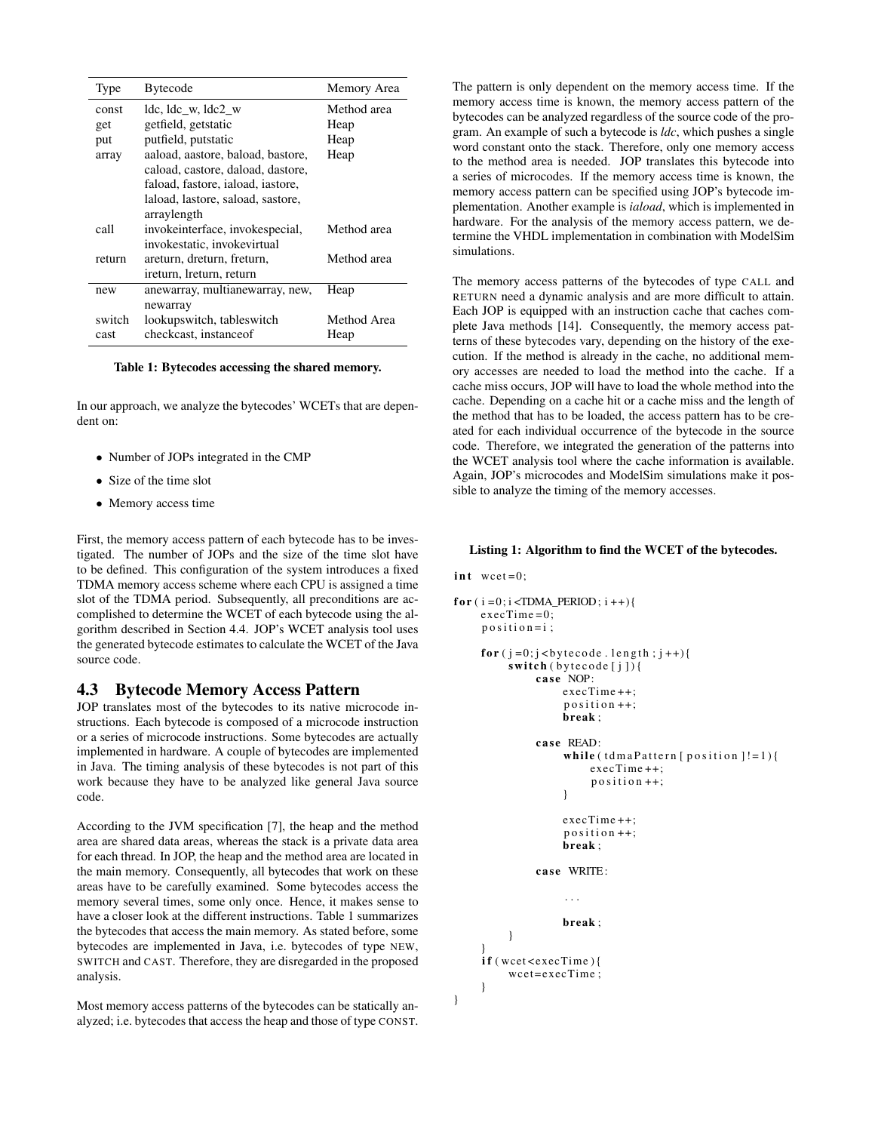| Type   | <b>B</b> ytecode                  | Memory Area |
|--------|-----------------------------------|-------------|
| const  | lde, lde w, lde2 w                | Method area |
| get    | getfield, getstatic               | Heap        |
| put    | putfield, putstatic               | Heap        |
| array  | aaload, aastore, baload, bastore, | Heap        |
|        | caload, castore, daload, dastore, |             |
|        | faload, fastore, iaload, iastore, |             |
|        | laload, lastore, saload, sastore, |             |
|        | arraylength                       |             |
| call   | invokeinterface, invokespecial,   | Method area |
|        | invokestatic, invokevirtual       |             |
| return | areturn, dreturn, freturn,        | Method area |
|        | ireturn, Ireturn, return          |             |
| new    | anewarray, multianewarray, new,   | Heap        |
|        | newarray                          |             |
| switch | lookupswitch, tableswitch         | Method Area |
| cast   | checkcast, instanceof             | Heap        |

<span id="page-3-0"></span>Table 1: Bytecodes accessing the shared memory.

In our approach, we analyze the bytecodes' WCETs that are dependent on:

- Number of JOPs integrated in the CMP
- Size of the time slot
- Memory access time

First, the memory access pattern of each bytecode has to be investigated. The number of JOPs and the size of the time slot have to be defined. This configuration of the system introduces a fixed TDMA memory access scheme where each CPU is assigned a time slot of the TDMA period. Subsequently, all preconditions are accomplished to determine the WCET of each bytecode using the algorithm described in Section [4.4.](#page-4-0) JOP's WCET analysis tool uses the generated bytecode estimates to calculate the WCET of the Java source code.

#### 4.3 Bytecode Memory Access Pattern

JOP translates most of the bytecodes to its native microcode instructions. Each bytecode is composed of a microcode instruction or a series of microcode instructions. Some bytecodes are actually implemented in hardware. A couple of bytecodes are implemented in Java. The timing analysis of these bytecodes is not part of this work because they have to be analyzed like general Java source code.

According to the JVM specification [\[7\]](#page-7-19), the heap and the method area are shared data areas, whereas the stack is a private data area for each thread. In JOP, the heap and the method area are located in the main memory. Consequently, all bytecodes that work on these areas have to be carefully examined. Some bytecodes access the memory several times, some only once. Hence, it makes sense to have a closer look at the different instructions. Table [1](#page-3-0) summarizes the bytecodes that access the main memory. As stated before, some bytecodes are implemented in Java, i.e. bytecodes of type NEW, SWITCH and CAST. Therefore, they are disregarded in the proposed analysis.

Most memory access patterns of the bytecodes can be statically analyzed; i.e. bytecodes that access the heap and those of type CONST.

The pattern is only dependent on the memory access time. If the memory access time is known, the memory access pattern of the bytecodes can be analyzed regardless of the source code of the program. An example of such a bytecode is *ldc*, which pushes a single word constant onto the stack. Therefore, only one memory access to the method area is needed. JOP translates this bytecode into a series of microcodes. If the memory access time is known, the memory access pattern can be specified using JOP's bytecode implementation. Another example is *iaload*, which is implemented in hardware. For the analysis of the memory access pattern, we determine the VHDL implementation in combination with ModelSim simulations.

The memory access patterns of the bytecodes of type CALL and RETURN need a dynamic analysis and are more difficult to attain. Each JOP is equipped with an instruction cache that caches complete Java methods [\[14\]](#page-7-20). Consequently, the memory access patterns of these bytecodes vary, depending on the history of the execution. If the method is already in the cache, no additional memory accesses are needed to load the method into the cache. If a cache miss occurs, JOP will have to load the whole method into the cache. Depending on a cache hit or a cache miss and the length of the method that has to be loaded, the access pattern has to be created for each individual occurrence of the bytecode in the source code. Therefore, we integrated the generation of the patterns into the WCET analysis tool where the cache information is available. Again, JOP's microcodes and ModelSim simulations make it possible to analyze the timing of the memory accesses.

#### <span id="page-3-1"></span>Listing 1: Algorithm to find the WCET of the bytecodes.

int wcet= $0$ ;

}

```
for (i = 0; i <b>TDMA</b> PERIOD; i + +){
execTime = 0;p o s i t i o n = i;
for (j=0; j < by tecode. length ; j++){
     s witch (bytecode [j]) {
          case NOP:
               execTime ++;
               position++;break ;
          case READ:
               while (tdmaPattern[position]!=1){
                    execTime ++;
                    po s i tion ++;
               }
               execTime ++;
               po s i tion ++;
               break ;
          case WRITE:
               . . .
               break ;
     }
}
if (wcet<execTime){
     wcet=execTime;
}
```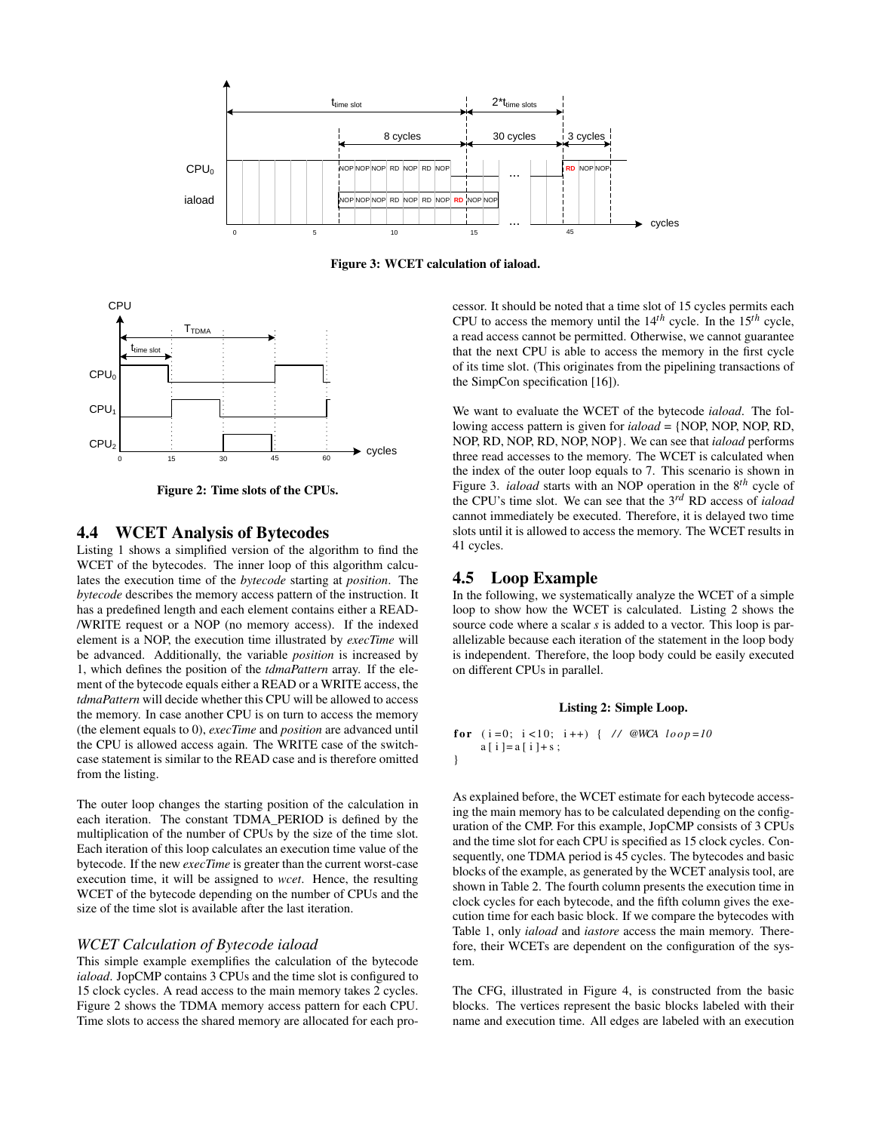

<span id="page-4-2"></span>Figure 3: WCET calculation of iaload.



<span id="page-4-1"></span>Figure 2: Time slots of the CPUs.

#### <span id="page-4-0"></span>4.4 WCET Analysis of Bytecodes

Listing [1](#page-3-1) shows a simplified version of the algorithm to find the WCET of the bytecodes. The inner loop of this algorithm calculates the execution time of the *bytecode* starting at *position*. The *bytecode* describes the memory access pattern of the instruction. It has a predefined length and each element contains either a READ- /WRITE request or a NOP (no memory access). If the indexed element is a NOP, the execution time illustrated by *execTime* will be advanced. Additionally, the variable *position* is increased by 1, which defines the position of the *tdmaPattern* array. If the element of the bytecode equals either a READ or a WRITE access, the *tdmaPattern* will decide whether this CPU will be allowed to access the memory. In case another CPU is on turn to access the memory (the element equals to 0), *execTime* and *position* are advanced until the CPU is allowed access again. The WRITE case of the switchcase statement is similar to the READ case and is therefore omitted from the listing.

The outer loop changes the starting position of the calculation in each iteration. The constant TDMA\_PERIOD is defined by the multiplication of the number of CPUs by the size of the time slot. Each iteration of this loop calculates an execution time value of the bytecode. If the new *execTime* is greater than the current worst-case execution time, it will be assigned to *wcet*. Hence, the resulting WCET of the bytecode depending on the number of CPUs and the size of the time slot is available after the last iteration.

#### *WCET Calculation of Bytecode iaload*

This simple example exemplifies the calculation of the bytecode *iaload*. JopCMP contains 3 CPUs and the time slot is configured to 15 clock cycles. A read access to the main memory takes 2 cycles. Figure [2](#page-4-1) shows the TDMA memory access pattern for each CPU. Time slots to access the shared memory are allocated for each processor. It should be noted that a time slot of 15 cycles permits each CPU to access the memory until the 14*th* cycle. In the 15*th* cycle, a read access cannot be permitted. Otherwise, we cannot guarantee that the next CPU is able to access the memory in the first cycle of its time slot. (This originates from the pipelining transactions of the SimpCon specification [\[16\]](#page-7-13)).

We want to evaluate the WCET of the bytecode *iaload*. The following access pattern is given for *iaload* = {NOP, NOP, NOP, RD, NOP, RD, NOP, RD, NOP, NOP}. We can see that *iaload* performs three read accesses to the memory. The WCET is calculated when the index of the outer loop equals to 7. This scenario is shown in Figure [3.](#page-4-2) *iaload* starts with an NOP operation in the 8*th* cycle of the CPU's time slot. We can see that the 3*rd* RD access of *iaload* cannot immediately be executed. Therefore, it is delayed two time slots until it is allowed to access the memory. The WCET results in 41 cycles.

#### 4.5 Loop Example

In the following, we systematically analyze the WCET of a simple loop to show how the WCET is calculated. Listing [2](#page-4-3) shows the source code where a scalar *s* is added to a vector. This loop is parallelizable because each iteration of the statement in the loop body is independent. Therefore, the loop body could be easily executed on different CPUs in parallel.

#### Listing 2: Simple Loop.

```
for (i=0; i<10; i++) \{ // @WCA loop=10a[i] = a[i] + s;}
```
As explained before, the WCET estimate for each bytecode accessing the main memory has to be calculated depending on the configuration of the CMP. For this example, JopCMP consists of 3 CPUs and the time slot for each CPU is specified as 15 clock cycles. Consequently, one TDMA period is 45 cycles. The bytecodes and basic blocks of the example, as generated by the WCET analysis tool, are shown in Table [2.](#page-5-1) The fourth column presents the execution time in clock cycles for each bytecode, and the fifth column gives the execution time for each basic block. If we compare the bytecodes with Table [1,](#page-3-0) only *iaload* and *iastore* access the main memory. Therefore, their WCETs are dependent on the configuration of the system.

The CFG, illustrated in Figure [4,](#page-5-2) is constructed from the basic blocks. The vertices represent the basic blocks labeled with their name and execution time. All edges are labeled with an execution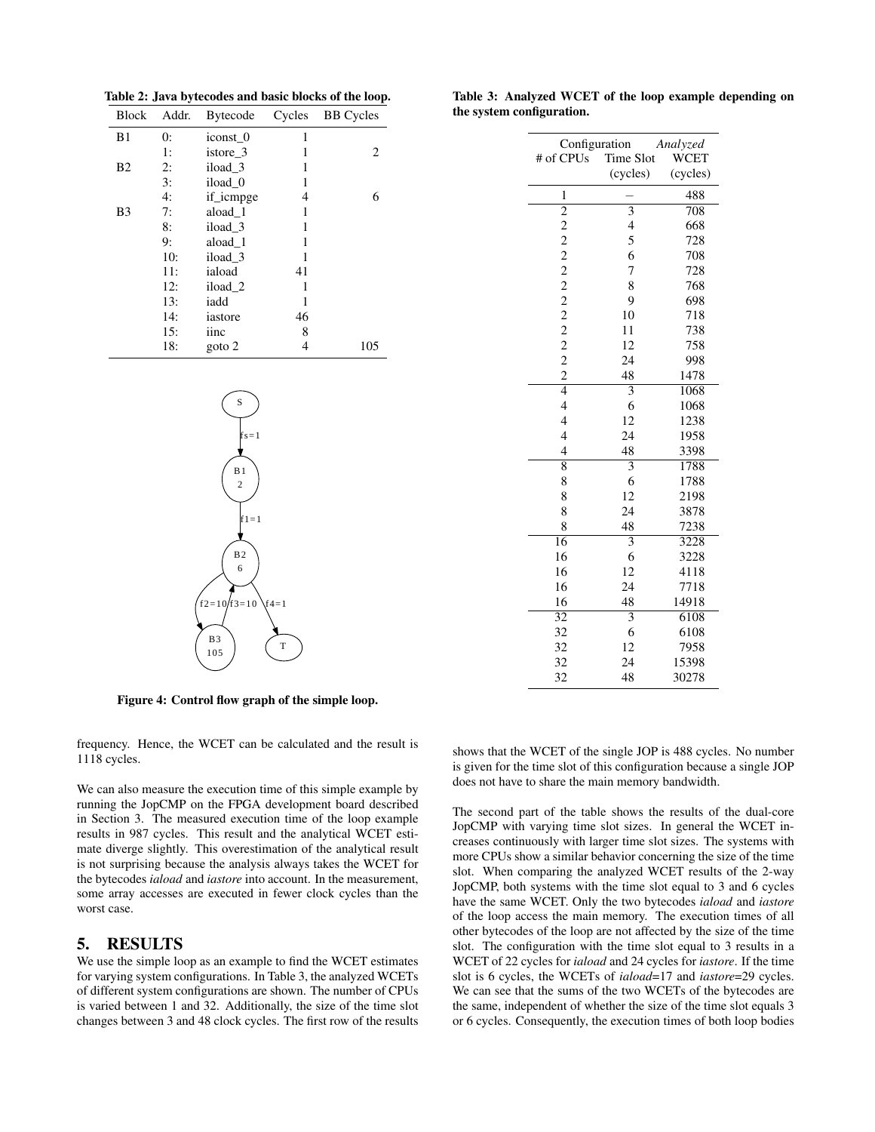<span id="page-5-1"></span>Table 2: Java bytecodes and basic blocks of the loop.

| <b>Block</b>   | Addr. | <b>Bytecode</b>    | Cycles | <b>BB</b> Cycles |
|----------------|-------|--------------------|--------|------------------|
| B <sub>1</sub> | 0:    | iconst 0           | 1      |                  |
|                | 1:    | istore_3           | 1      | 2                |
| B2             | 2:    | iload 3            | 1      |                  |
|                | 3:    | iload <sub>0</sub> | 1      |                  |
|                | 4:    | if_icmpge          | 4      | 6                |
| B3             | 7:    | aload_1            | 1      |                  |
|                | 8:    | iload 3            | 1      |                  |
|                | 9:    | aload 1            | 1      |                  |
|                | 10:   | iload_3            | 1      |                  |
|                | 11:   | iaload             | 41     |                  |
|                | 12:   | iload 2            | 1      |                  |
|                | 13:   | iadd               | 1      |                  |
|                | 14:   | iastore            | 46     |                  |
|                | 15:   | iinc               | 8      |                  |
|                | 18:   | goto 2             | 4      | 105              |



<span id="page-5-3"></span>Table 3: Analyzed WCET of the loop example depending on the system configuration. Configuration *Analyzed* # of CPUs Time Slot WCET (cycles) (cycles) 1 − 488 2 3 708 2 4 668 2 5 728 2 6 708 2 7 728

| 1                                               |                          | 488   |
|-------------------------------------------------|--------------------------|-------|
|                                                 | $\overline{\mathbf{3}}$  | 708   |
|                                                 | $\overline{\mathcal{L}}$ | 668   |
|                                                 | 5                        | 728   |
|                                                 | 6                        | 708   |
|                                                 | 7                        | 728   |
|                                                 | 8                        | 768   |
|                                                 | 9                        | 698   |
|                                                 | 10                       | 718   |
|                                                 | 11                       | 738   |
|                                                 | 12                       | 758   |
|                                                 | 24                       | 998   |
| $\overline{2}$ 2 2 2 2 2 2 2 2 2 $\overline{4}$ | 48                       | 1478  |
|                                                 | 3                        | 1068  |
| $\overline{\mathcal{L}}$                        | 6                        | 1068  |
| $\overline{\mathcal{L}}$                        | 12                       | 1238  |
| $\overline{4}$                                  | 24                       | 1958  |
| $\overline{4}$                                  | 48                       | 3398  |
| $\overline{8}$                                  | $\overline{3}$           | 1788  |
| 8                                               | 6                        | 1788  |
| 8                                               | 12                       | 2198  |
| 8                                               | 24                       | 3878  |
| 8                                               | 48                       | 7238  |
| $\overline{16}$                                 | 3                        | 3228  |
| 16                                              | 6                        | 3228  |
| 16                                              | 12                       | 4118  |
| 16                                              | 24                       | 7718  |
| 16                                              | 48                       | 14918 |
| $\overline{32}$                                 | $\overline{\mathbf{3}}$  | 6108  |
| 32                                              | 6                        | 6108  |
| 32                                              | 12                       | 7958  |
| 32                                              | 24                       | 15398 |
| 32                                              | 48                       | 30278 |

<span id="page-5-2"></span>Figure 4: Control flow graph of the simple loop.

frequency. Hence, the WCET can be calculated and the result is 1118 cycles.

We can also measure the execution time of this simple example by running the JopCMP on the FPGA development board described in Section [3.](#page-1-1) The measured execution time of the loop example results in 987 cycles. This result and the analytical WCET estimate diverge slightly. This overestimation of the analytical result is not surprising because the analysis always takes the WCET for the bytecodes *iaload* and *iastore* into account. In the measurement, some array accesses are executed in fewer clock cycles than the worst case.

# <span id="page-5-0"></span>5. RESULTS

We use the simple loop as an example to find the WCET estimates for varying system configurations. In Table [3,](#page-5-3) the analyzed WCETs of different system configurations are shown. The number of CPUs is varied between 1 and 32. Additionally, the size of the time slot changes between 3 and 48 clock cycles. The first row of the results shows that the WCET of the single JOP is 488 cycles. No number is given for the time slot of this configuration because a single JOP does not have to share the main memory bandwidth.

The second part of the table shows the results of the dual-core JopCMP with varying time slot sizes. In general the WCET increases continuously with larger time slot sizes. The systems with more CPUs show a similar behavior concerning the size of the time slot. When comparing the analyzed WCET results of the 2-way JopCMP, both systems with the time slot equal to 3 and 6 cycles have the same WCET. Only the two bytecodes *iaload* and *iastore* of the loop access the main memory. The execution times of all other bytecodes of the loop are not affected by the size of the time slot. The configuration with the time slot equal to 3 results in a WCET of 22 cycles for *iaload* and 24 cycles for *iastore*. If the time slot is 6 cycles, the WCETs of *iaload*=17 and *iastore*=29 cycles. We can see that the sums of the two WCETs of the bytecodes are the same, independent of whether the size of the time slot equals 3 or 6 cycles. Consequently, the execution times of both loop bodies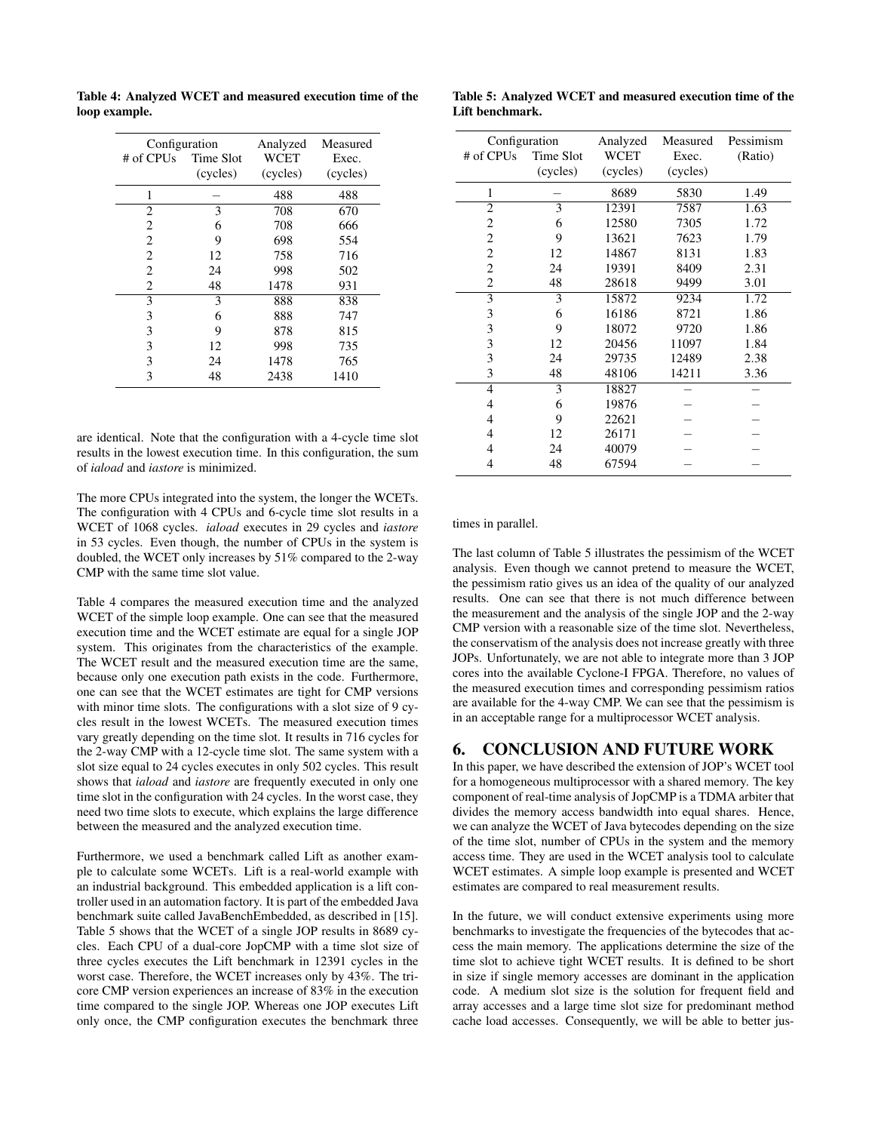<span id="page-6-1"></span>

| Configuration<br># of CPUs | Time Slot<br>(cycles) | Analyzed<br>WCET<br>(cycles) | Measured<br>Exec.<br>(cycles) |
|----------------------------|-----------------------|------------------------------|-------------------------------|
| 1                          |                       | 488                          | 488                           |
| 2                          | 3                     | 708                          | 670                           |
| 2                          | 6                     | 708                          | 666                           |
| 2                          | 9                     | 698                          | 554                           |
| 2                          | 12                    | 758                          | 716                           |
| 2                          | 24                    | 998                          | 502                           |
| 2                          | 48                    | 1478                         | 931                           |
| 3                          | 3                     | 888                          | 838                           |
| 3                          | 6                     | 888                          | 747                           |
| 3                          | 9                     | 878                          | 815                           |
| 3                          | 12                    | 998                          | 735                           |
| 3                          | 24                    | 1478                         | 765                           |
| 3                          | 48                    | 2438                         | 1410                          |

Table 4: Analyzed WCET and measured execution time of the loop example.

are identical. Note that the configuration with a 4-cycle time slot results in the lowest execution time. In this configuration, the sum of *iaload* and *iastore* is minimized.

The more CPUs integrated into the system, the longer the WCETs. The configuration with 4 CPUs and 6-cycle time slot results in a WCET of 1068 cycles. *iaload* executes in 29 cycles and *iastore* in 53 cycles. Even though, the number of CPUs in the system is doubled, the WCET only increases by 51% compared to the 2-way CMP with the same time slot value.

Table [4](#page-6-1) compares the measured execution time and the analyzed WCET of the simple loop example. One can see that the measured execution time and the WCET estimate are equal for a single JOP system. This originates from the characteristics of the example. The WCET result and the measured execution time are the same, because only one execution path exists in the code. Furthermore, one can see that the WCET estimates are tight for CMP versions with minor time slots. The configurations with a slot size of 9 cycles result in the lowest WCETs. The measured execution times vary greatly depending on the time slot. It results in 716 cycles for the 2-way CMP with a 12-cycle time slot. The same system with a slot size equal to 24 cycles executes in only 502 cycles. This result shows that *iaload* and *iastore* are frequently executed in only one time slot in the configuration with 24 cycles. In the worst case, they need two time slots to execute, which explains the large difference between the measured and the analyzed execution time.

Furthermore, we used a benchmark called Lift as another example to calculate some WCETs. Lift is a real-world example with an industrial background. This embedded application is a lift controller used in an automation factory. It is part of the embedded Java benchmark suite called JavaBenchEmbedded, as described in [\[15\]](#page-7-2). Table [5](#page-6-2) shows that the WCET of a single JOP results in 8689 cycles. Each CPU of a dual-core JopCMP with a time slot size of three cycles executes the Lift benchmark in 12391 cycles in the worst case. Therefore, the WCET increases only by 43%. The tricore CMP version experiences an increase of 83% in the execution time compared to the single JOP. Whereas one JOP executes Lift only once, the CMP configuration executes the benchmark three

<span id="page-6-2"></span>

|                 |  | Table 5: Analyzed WCET and measured execution time of the |  |  |
|-----------------|--|-----------------------------------------------------------|--|--|
| Lift benchmark. |  |                                                           |  |  |

| Configuration<br># of CPUs<br>Time Slot |          | Analyzed<br>WCET | Measured          | Pessimism |
|-----------------------------------------|----------|------------------|-------------------|-----------|
|                                         | (cycles) | (cycles)         | Exec.<br>(cycles) | (Ratio)   |
|                                         |          |                  |                   |           |
| $\mathbf{1}$                            |          | 8689             | 5830              | 1.49      |
| 2                                       | 3        | 12391            | 7587              | 1.63      |
| 2                                       | 6        | 12580            | 7305              | 1.72      |
| 2                                       | 9        | 13621            | 7623              | 1.79      |
| $\overline{2}$                          | 12       | 14867            | 8131              | 1.83      |
| 2                                       | 24       | 19391            | 8409              | 2.31      |
| 2                                       | 48       | 28618            | 9499              | 3.01      |
| 3                                       | 3        | 15872            | 9234              | 1.72      |
| 3                                       | 6        | 16186            | 8721              | 1.86      |
| 3                                       | 9        | 18072            | 9720              | 1.86      |
| 3                                       | 12       | 20456            | 11097             | 1.84      |
| 3                                       | 24       | 29735            | 12489             | 2.38      |
| 3                                       | 48       | 48106            | 14211             | 3.36      |
| $\overline{4}$                          | 3        | 18827            |                   |           |
| 4                                       | 6        | 19876            |                   |           |
| 4                                       | 9        | 22621            |                   |           |
| 4                                       | 12       | 26171            |                   |           |
| 4                                       | 24       | 40079            |                   |           |
| 4                                       | 48       | 67594            |                   |           |

times in parallel.

The last column of Table [5](#page-6-2) illustrates the pessimism of the WCET analysis. Even though we cannot pretend to measure the WCET, the pessimism ratio gives us an idea of the quality of our analyzed results. One can see that there is not much difference between the measurement and the analysis of the single JOP and the 2-way CMP version with a reasonable size of the time slot. Nevertheless, the conservatism of the analysis does not increase greatly with three JOPs. Unfortunately, we are not able to integrate more than 3 JOP cores into the available Cyclone-I FPGA. Therefore, no values of the measured execution times and corresponding pessimism ratios are available for the 4-way CMP. We can see that the pessimism is in an acceptable range for a multiprocessor WCET analysis.

#### <span id="page-6-0"></span>6. CONCLUSION AND FUTURE WORK

In this paper, we have described the extension of JOP's WCET tool for a homogeneous multiprocessor with a shared memory. The key component of real-time analysis of JopCMP is a TDMA arbiter that divides the memory access bandwidth into equal shares. Hence, we can analyze the WCET of Java bytecodes depending on the size of the time slot, number of CPUs in the system and the memory access time. They are used in the WCET analysis tool to calculate WCET estimates. A simple loop example is presented and WCET estimates are compared to real measurement results.

In the future, we will conduct extensive experiments using more benchmarks to investigate the frequencies of the bytecodes that access the main memory. The applications determine the size of the time slot to achieve tight WCET results. It is defined to be short in size if single memory accesses are dominant in the application code. A medium slot size is the solution for frequent field and array accesses and a large time slot size for predominant method cache load accesses. Consequently, we will be able to better jus